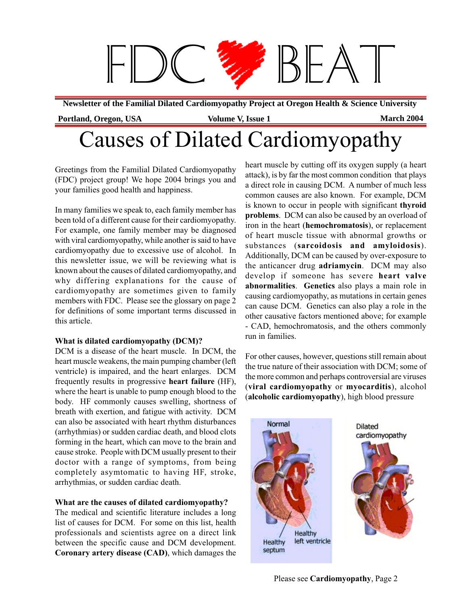

**Newsletter of the Familial Dilated Cardiomyopathy Project at Oregon Health & Science University**

## Causes of Dilated Cardiomyopathy

Greetings from the Familial Dilated Cardiomyopathy (FDC) project group! We hope 2004 brings you and your families good health and happiness.

In many families we speak to, each family member has been told of a different cause for their cardiomyopathy. For example, one family member may be diagnosed with viral cardiomyopathy, while another is said to have cardiomyopathy due to excessive use of alcohol. In this newsletter issue, we will be reviewing what is known about the causes of dilated cardiomyopathy, and why differing explanations for the cause of cardiomyopathy are sometimes given to family members with FDC. Please see the glossary on page 2 for definitions of some important terms discussed in this article.

#### **What is dilated cardiomyopathy (DCM)?**

DCM is a disease of the heart muscle. In DCM, the heart muscle weakens, the main pumping chamber (left ventricle) is impaired, and the heart enlarges. DCM frequently results in progressive **heart failure** (HF), where the heart is unable to pump enough blood to the body. HF commonly causes swelling, shortness of breath with exertion, and fatigue with activity. DCM can also be associated with heart rhythm disturbances (arrhythmias) or sudden cardiac death, and blood clots forming in the heart, which can move to the brain and cause stroke. People with DCM usually present to their doctor with a range of symptoms, from being completely asymtomatic to having HF, stroke, arrhythmias, or sudden cardiac death.

#### **What are the causes of dilated cardiomyopathy?**

The medical and scientific literature includes a long list of causes for DCM. For some on this list, health professionals and scientists agree on a direct link between the specific cause and DCM development. **Coronary artery disease (CAD)**, which damages the

heart muscle by cutting off its oxygen supply (a heart attack), is by far the most common condition that plays a direct role in causing DCM. A number of much less common causes are also known. For example, DCM is known to occur in people with significant **thyroid problems**. DCM can also be caused by an overload of iron in the heart (**hemochromatosis**), or replacement of heart muscle tissue with abnormal growths or substances (**sarcoidosis and amyloidosis**). Additionally, DCM can be caused by over-exposure to the anticancer drug **adriamycin**. DCM may also develop if someone has severe **heart valve abnormalities**. **Genetics** also plays a main role in causing cardiomyopathy, as mutations in certain genes can cause DCM. Genetics can also play a role in the other causative factors mentioned above; for example - CAD, hemochromatosis, and the others commonly run in families.

For other causes, however, questions still remain about the true nature of their association with DCM; some of the more common and perhaps controversial are viruses (**viral cardiomyopathy** or **myocarditis**), alcohol (**alcoholic cardiomyopathy**), high blood pressure

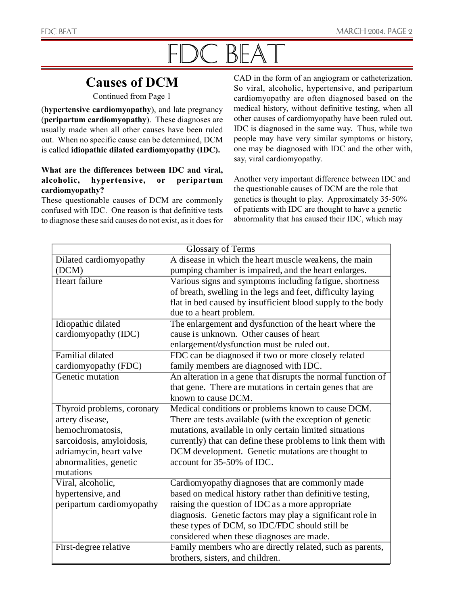# FDC BEAT

### **Causes of DCM**

Continued from Page 1

(**hypertensive cardiomyopathy**), and late pregnancy (**peripartum cardiomyopathy**). These diagnoses are usually made when all other causes have been ruled out. When no specific cause can be determined, DCM is called **idiopathic dilated cardiomyopathy (IDC).**

#### **What are the differences between IDC and viral, alcoholic, hypertensive, or peripartum cardiomyopathy?**

These questionable causes of DCM are commonly confused with IDC. One reason is that definitive tests to diagnose these said causes do not exist, as it does for CAD in the form of an angiogram or catheterization. So viral, alcoholic, hypertensive, and peripartum cardiomyopathy are often diagnosed based on the medical history, without definitive testing, when all other causes of cardiomyopathy have been ruled out. IDC is diagnosed in the same way. Thus, while two people may have very similar symptoms or history, one may be diagnosed with IDC and the other with, say, viral cardiomyopathy.

Another very important difference between IDC and the questionable causes of DCM are the role that genetics is thought to play. Approximately 35-50% of patients with IDC are thought to have a genetic abnormality that has caused their IDC, which may

| <b>Glossary of Terms</b>   |                                                              |
|----------------------------|--------------------------------------------------------------|
| Dilated cardiomyopathy     | A disease in which the heart muscle weakens, the main        |
| (DCM)                      | pumping chamber is impaired, and the heart enlarges.         |
| Heart failure              | Various signs and symptoms including fatigue, shortness      |
|                            | of breath, swelling in the legs and feet, difficulty laying  |
|                            | flat in bed caused by insufficient blood supply to the body  |
|                            | due to a heart problem.                                      |
| Idiopathic dilated         | The enlargement and dysfunction of the heart where the       |
| cardiomyopathy (IDC)       | cause is unknown. Other causes of heart                      |
|                            | enlargement/dysfunction must be ruled out.                   |
| <b>Familial dilated</b>    | FDC can be diagnosed if two or more closely related          |
| cardiomyopathy (FDC)       | family members are diagnosed with IDC.                       |
| Genetic mutation           | An alteration in a gene that disrupts the normal function of |
|                            | that gene. There are mutations in certain genes that are     |
|                            | known to cause DCM.                                          |
| Thyroid problems, coronary | Medical conditions or problems known to cause DCM.           |
| artery disease,            | There are tests available (with the exception of genetic     |
| hemochromatosis,           | mutations, available in only certain limited situations      |
| sarcoidosis, amyloidosis,  | currently) that can define these problems to link them with  |
| adriamycin, heart valve    | DCM development. Genetic mutations are thought to            |
| abnormalities, genetic     | account for 35-50% of IDC.                                   |
| mutations                  |                                                              |
| Viral, alcoholic,          | Cardiomyopathy diagnoses that are commonly made              |
| hypertensive, and          | based on medical history rather than definitive testing,     |
| peripartum cardiomyopathy  | raising the question of IDC as a more appropriate            |
|                            | diagnosis. Genetic factors may play a significant role in    |
|                            | these types of DCM, so IDC/FDC should still be               |
|                            | considered when these diagnoses are made.                    |
| First-degree relative      | Family members who are directly related, such as parents,    |
|                            | brothers, sisters, and children.                             |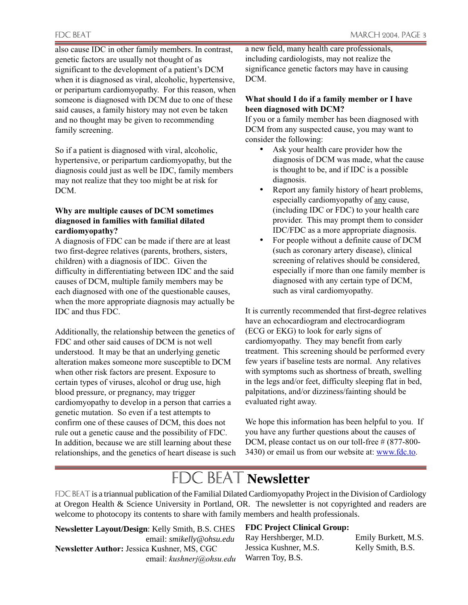also cause IDC in other family members. In contrast, genetic factors are usually not thought of as significant to the development of a patient's DCM when it is diagnosed as viral, alcoholic, hypertensive, or peripartum cardiomyopathy. For this reason, when someone is diagnosed with DCM due to one of these said causes, a family history may not even be taken and no thought may be given to recommending family screening.

So if a patient is diagnosed with viral, alcoholic, hypertensive, or peripartum cardiomyopathy, but the diagnosis could just as well be IDC, family members may not realize that they too might be at risk for DCM.

#### **Why are multiple causes of DCM sometimes diagnosed in families with familial dilated cardiomyopathy?**

A diagnosis of FDC can be made if there are at least two first-degree relatives (parents, brothers, sisters, children) with a diagnosis of IDC. Given the difficulty in differentiating between IDC and the said causes of DCM, multiple family members may be each diagnosed with one of the questionable causes, when the more appropriate diagnosis may actually be IDC and thus FDC.

Additionally, the relationship between the genetics of FDC and other said causes of DCM is not well understood. It may be that an underlying genetic alteration makes someone more susceptible to DCM when other risk factors are present. Exposure to certain types of viruses, alcohol or drug use, high blood pressure, or pregnancy, may trigger cardiomyopathy to develop in a person that carries a genetic mutation. So even if a test attempts to confirm one of these causes of DCM, this does not rule out a genetic cause and the possibility of FDC. In addition, because we are still learning about these relationships, and the genetics of heart disease is such a new field, many health care professionals, including cardiologists, may not realize the significance genetic factors may have in causing DCM.

#### **What should I do if a family member or I have been diagnosed with DCM?**

If you or a family member has been diagnosed with DCM from any suspected cause, you may want to consider the following:

- Ask your health care provider how the diagnosis of DCM was made, what the cause is thought to be, and if IDC is a possible diagnosis.
- Report any family history of heart problems, especially cardiomyopathy of any cause, (including IDC or FDC) to your health care provider. This may prompt them to consider IDC/FDC as a more appropriate diagnosis.
- For people without a definite cause of DCM (such as coronary artery disease), clinical screening of relatives should be considered, especially if more than one family member is diagnosed with any certain type of DCM, such as viral cardiomyopathy.

It is currently recommended that first-degree relatives have an echocardiogram and electrocardiogram (ECG or EKG) to look for early signs of cardiomyopathy. They may benefit from early treatment. This screening should be performed every few years if baseline tests are normal. Any relatives with symptoms such as shortness of breath, swelling in the legs and/or feet, difficulty sleeping flat in bed, palpitations, and/or dizziness/fainting should be evaluated right away.

We hope this information has been helpful to you. If you have any further questions about the causes of DCM, please contact us on our toll-free # (877-800-3430) or email us from our website at: www.fdc.to.

### **FDC BEAT Newsletter**

FDC BEAT is a triannual publication of the Familial Dilated Cardiomyopathy Project in the Division of Cardiology at Oregon Health & Science University in Portland, OR. The newsletter is not copyrighted and readers are welcome to photocopy its contents to share with family members and health professionals.

**Newsletter Layout/Design**: Kelly Smith, B.S. CHES email: *smikelly@ohsu.edu* **Newsletter Author:** Jessica Kushner, MS, CGC email: *kushnerj@ohsu.edu*

#### **FDC Project Clinical Group:**

Ray Hershberger, M.D. Emily Burkett, M.S. Jessica Kushner, M.S. Kelly Smith, B.S. Warren Toy, B.S.